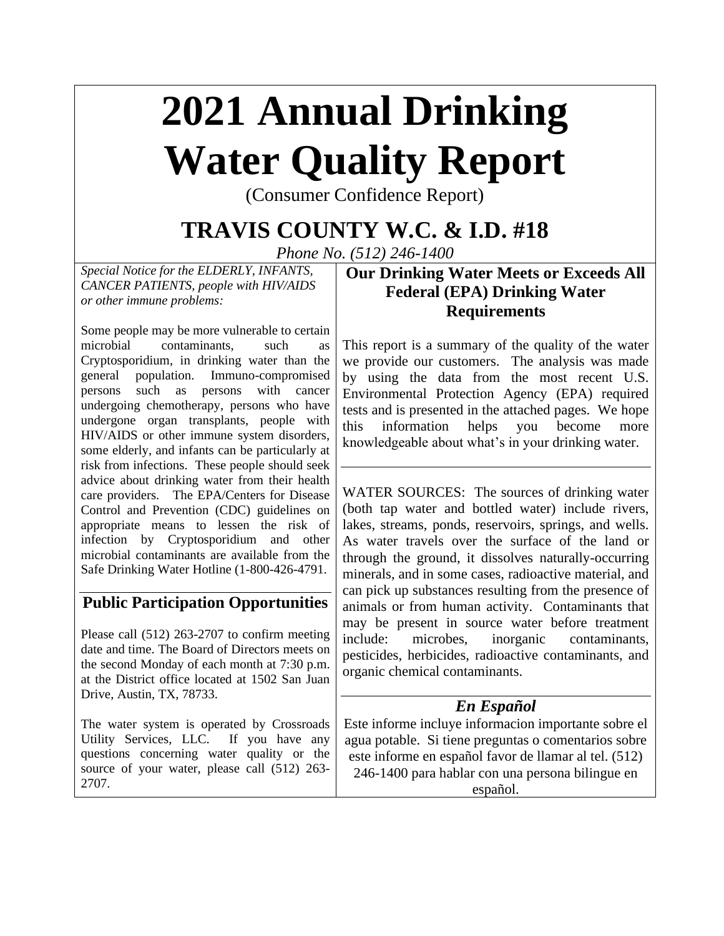# **2021 Annual Drinking Water Quality Report**

(Consumer Confidence Report)

## **TRAVIS COUNTY W.C. & I.D. #18**

*Phone No. (512) 246-1400*

*Special Notice for the ELDERLY, INFANTS, CANCER PATIENTS, people with HIV/AIDS or other immune problems:*

Some people may be more vulnerable to certain microbial contaminants, such as Cryptosporidium, in drinking water than the general population. Immuno-compromised persons such as persons with cancer undergoing chemotherapy, persons who have undergone organ transplants, people with HIV/AIDS or other immune system disorders, some elderly, and infants can be particularly at risk from infections. These people should seek advice about drinking water from their health care providers. The EPA/Centers for Disease Control and Prevention (CDC) guidelines on appropriate means to lessen the risk of infection by Cryptosporidium and other microbial contaminants are available from the Safe Drinking Water Hotline (1-800-426-4791.

## **Public Participation Opportunities**

Please call (512) 263-2707 to confirm meeting date and time. The Board of Directors meets on the second Monday of each month at 7:30 p.m. at the District office located at 1502 San Juan Drive, Austin, TX, 78733.

The water system is operated by Crossroads Utility Services, LLC. If you have any questions concerning water quality or the source of your water, please call (512) 263- 2707.

## **Our Drinking Water Meets or Exceeds All Federal (EPA) Drinking Water Requirements**

This report is a summary of the quality of the water we provide our customers. The analysis was made by using the data from the most recent U.S. Environmental Protection Agency (EPA) required tests and is presented in the attached pages. We hope this information helps you become more knowledgeable about what's in your drinking water.

WATER SOURCES: The sources of drinking water (both tap water and bottled water) include rivers, lakes, streams, ponds, reservoirs, springs, and wells. As water travels over the surface of the land or through the ground, it dissolves naturally-occurring minerals, and in some cases, radioactive material, and can pick up substances resulting from the presence of animals or from human activity. Contaminants that may be present in source water before treatment include: microbes, inorganic contaminants, pesticides, herbicides, radioactive contaminants, and organic chemical contaminants.

## *En Español*

Este informe incluye informacion importante sobre el agua potable. Si tiene preguntas o comentarios sobre este informe en español favor de llamar al tel. (512) 246-1400 para hablar con una persona bilingue en español.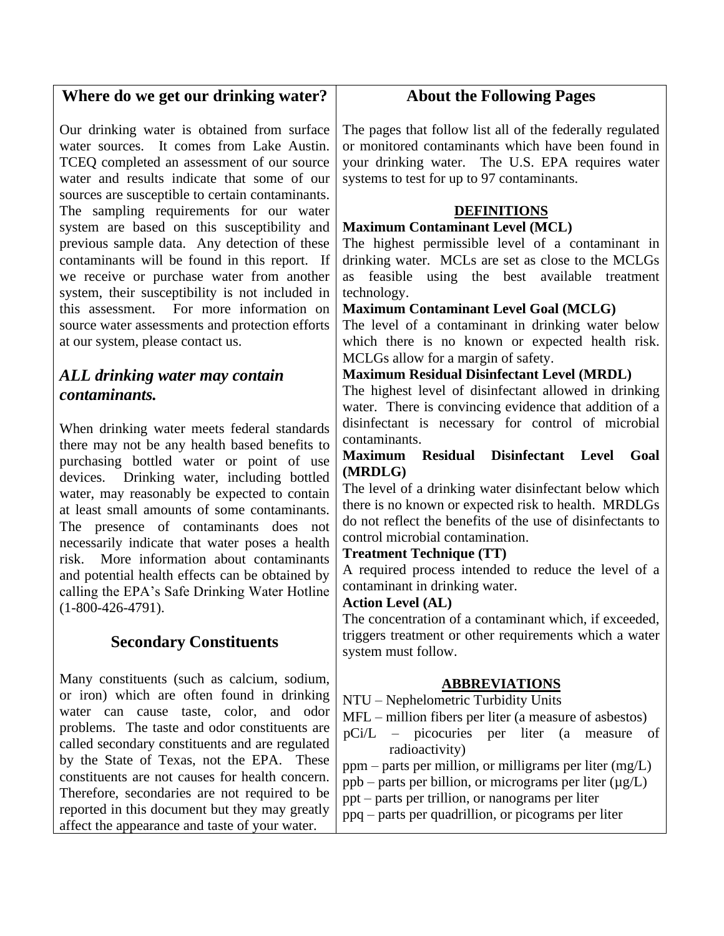## **Where do we get our drinking water?**

Our drinking water is obtained from surface water sources. It comes from Lake Austin. TCEQ completed an assessment of our source water and results indicate that some of our sources are susceptible to certain contaminants. The sampling requirements for our water system are based on this susceptibility and previous sample data. Any detection of these contaminants will be found in this report. If we receive or purchase water from another system, their susceptibility is not included in this assessment. For more information on source water assessments and protection efforts at our system, please contact us.

## *ALL drinking water may contain contaminants.*

When drinking water meets federal standards there may not be any health based benefits to purchasing bottled water or point of use devices. Drinking water, including bottled water, may reasonably be expected to contain at least small amounts of some contaminants. The presence of contaminants does not necessarily indicate that water poses a health risk. More information about contaminants and potential health effects can be obtained by calling the EPA's Safe Drinking Water Hotline (1-800-426-4791).

## **Secondary Constituents**

Many constituents (such as calcium, sodium, or iron) which are often found in drinking water can cause taste, color, and odor problems. The taste and odor constituents are called secondary constituents and are regulated by the State of Texas, not the EPA. These constituents are not causes for health concern. Therefore, secondaries are not required to be reported in this document but they may greatly affect the appearance and taste of your water.

## **About the Following Pages**

The pages that follow list all of the federally regulated or monitored contaminants which have been found in your drinking water. The U.S. EPA requires water systems to test for up to 97 contaminants.

## **DEFINITIONS**

#### **Maximum Contaminant Level (MCL)**

The highest permissible level of a contaminant in drinking water. MCLs are set as close to the MCLGs as feasible using the best available treatment technology.

## **Maximum Contaminant Level Goal (MCLG)**

The level of a contaminant in drinking water below which there is no known or expected health risk. MCLGs allow for a margin of safety.

### **Maximum Residual Disinfectant Level (MRDL)**

The highest level of disinfectant allowed in drinking water. There is convincing evidence that addition of a disinfectant is necessary for control of microbial contaminants.

#### **Maximum Residual Disinfectant Level Goal (MRDLG)**

The level of a drinking water disinfectant below which there is no known or expected risk to health. MRDLGs do not reflect the benefits of the use of disinfectants to control microbial contamination.

### **Treatment Technique (TT)**

A required process intended to reduce the level of a contaminant in drinking water.

## **Action Level (AL)**

The concentration of a contaminant which, if exceeded, triggers treatment or other requirements which a water system must follow.

### **ABBREVIATIONS**

NTU – Nephelometric Turbidity Units

- MFL million fibers per liter (a measure of asbestos)
- pCi/L picocuries per liter (a measure of radioactivity)

ppm – parts per million, or milligrams per liter (mg/L)

- ppb parts per billion, or micrograms per liter  $(\mu g/L)$
- ppt parts per trillion, or nanograms per liter
- ppq parts per quadrillion, or picograms per liter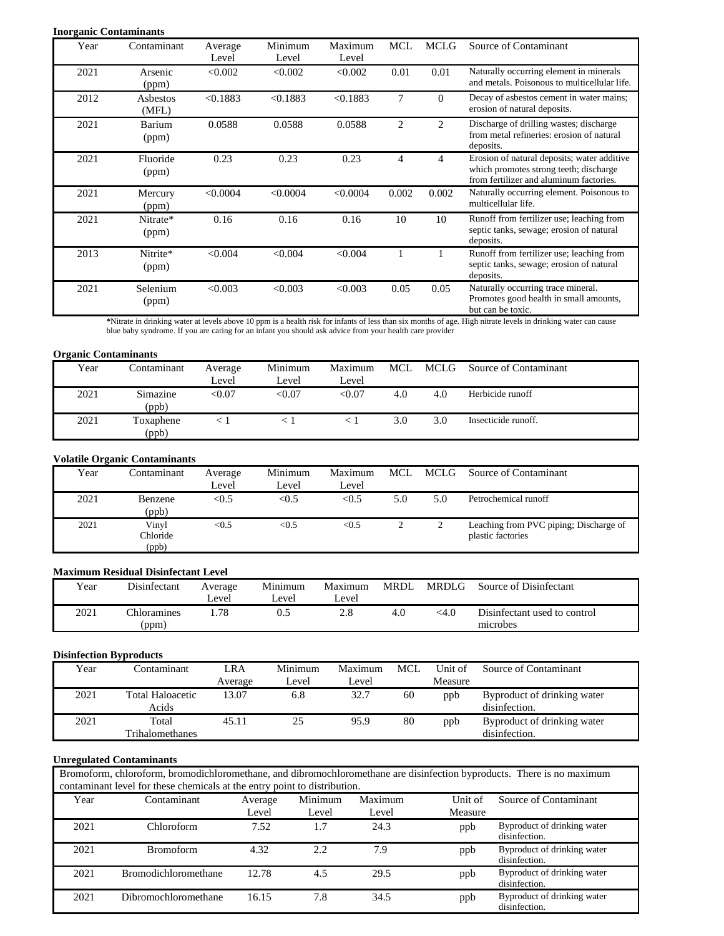#### **Inorganic Contaminants**

| Year | Contaminant       | Average<br>Level | Minimum<br>Level | Maximum<br>Level | <b>MCL</b>     | <b>MCLG</b>    | Source of Contaminant                                                                                                            |
|------|-------------------|------------------|------------------|------------------|----------------|----------------|----------------------------------------------------------------------------------------------------------------------------------|
| 2021 | Arsenic<br>(ppm)  | < 0.002          | < 0.002          | < 0.002          | 0.01           | 0.01           | Naturally occurring element in minerals<br>and metals. Poisonous to multicellular life.                                          |
| 2012 | Asbestos<br>(MFL) | < 0.1883         | < 0.1883         | < 0.1883         | 7              | $\Omega$       | Decay of asbestos cement in water mains;<br>erosion of natural deposits.                                                         |
| 2021 | Barium<br>(ppm)   | 0.0588           | 0.0588           | 0.0588           | $\overline{2}$ | 2              | Discharge of drilling wastes; discharge<br>from metal refineries: erosion of natural<br>deposits.                                |
| 2021 | Fluoride<br>(ppm) | 0.23             | 0.23             | 0.23             | 4              | $\overline{4}$ | Erosion of natural deposits; water additive<br>which promotes strong teeth; discharge<br>from fertilizer and aluminum factories. |
| 2021 | Mercury<br>(ppm)  | < 0.0004         | < 0.0004         | < 0.0004         | 0.002          | 0.002          | Naturally occurring element. Poisonous to<br>multicellular life.                                                                 |
| 2021 | Nitrate*<br>(ppm) | 0.16             | 0.16             | 0.16             | 10             | 10             | Runoff from fertilizer use; leaching from<br>septic tanks, sewage; erosion of natural<br>deposits.                               |
| 2013 | Nitrite*<br>(ppm) | < 0.004          | < 0.004          | < 0.004          |                |                | Runoff from fertilizer use; leaching from<br>septic tanks, sewage; erosion of natural<br>deposits.                               |
| 2021 | Selenium<br>(ppm) | < 0.003          | < 0.003          | < 0.003          | 0.05           | 0.05           | Naturally occurring trace mineral.<br>Promotes good health in small amounts,<br>but can be toxic.                                |

**\***Nitrate in drinking water at levels above 10 ppm is a health risk for infants of less than six months of age. High nitrate levels in drinking water can cause blue baby syndrome. If you are caring for an infant you should ask advice from your health care provider

#### **Organic Contaminants**

| Year | Contaminant        | Average<br>Level | Minimum<br>Level | Maximum<br>Level | MCL | MCLG | Source of Contaminant |
|------|--------------------|------------------|------------------|------------------|-----|------|-----------------------|
| 2021 | Simazine<br>(ppb)  | < 0.07           | < 0.07           | < 0.07           | 4.0 | 4.0  | Herbicide runoff      |
| 2021 | Toxaphene<br>(ppb) |                  |                  |                  | 3.0 | 3.0  | Insecticide runoff.   |

#### **Volatile Organic Contaminants**

| Year | Contaminant                | Average<br>Level | Minimum<br>Level | Maximum<br>Level | MCL. | MCLG | Source of Contaminant                                       |
|------|----------------------------|------------------|------------------|------------------|------|------|-------------------------------------------------------------|
| 2021 | Benzene<br>(ppb)           | < 0.5            | < 0.5            | < 0.5            | 5.0  | 5.0  | Petrochemical runoff                                        |
| 2021 | Vinyl<br>Chloride<br>(ppb) | < 0.5            | < 0.5            | < 0.5            |      |      | Leaching from PVC piping; Discharge of<br>plastic factories |

#### **Maximum Residual Disinfectant Level**

| Year | Disinfectant                | Average<br>Level | Minimum<br>Level | Maximum<br>Level | MRDL. | MRDLG | Source of Disinfectant                   |
|------|-----------------------------|------------------|------------------|------------------|-------|-------|------------------------------------------|
| 2021 | <b>Chloramines</b><br>(ppm) | .78              |                  | 2.8              | 4.0   | <4.0  | Disinfectant used to control<br>microbes |

#### **Disinfection Byproducts**

| Year | Contaminant               | LRA     | Minimum | Maximum | MCL | Unit of | Source of Contaminant                        |
|------|---------------------------|---------|---------|---------|-----|---------|----------------------------------------------|
|      |                           | Average | Level   | Level   |     | Measure |                                              |
| 2021 | Total Haloacetic<br>Acids | 13.07   | 6.8     | 32.7    | 60  | ppb     | Byproduct of drinking water<br>disinfection. |
| 2021 | Total<br>Trihalomethanes  | 45.11   | 25      | 95.9    | 80  | ppb     | Byproduct of drinking water<br>disinfection. |

#### **Unregulated Contaminants**

|      | Bromoform, chloroform, bromodichloromethane, and dibromochloromethane are disinfection byproducts. There is no maximum |         |         |         |         |                                              |  |  |  |  |  |
|------|------------------------------------------------------------------------------------------------------------------------|---------|---------|---------|---------|----------------------------------------------|--|--|--|--|--|
|      | contaminant level for these chemicals at the entry point to distribution.                                              |         |         |         |         |                                              |  |  |  |  |  |
| Year | Contaminant                                                                                                            | Average | Minimum | Maximum | Unit of | Source of Contaminant                        |  |  |  |  |  |
|      |                                                                                                                        | Level   | Level   | Level   | Measure |                                              |  |  |  |  |  |
| 2021 | Chloroform                                                                                                             | 7.52    | 1.7     | 24.3    | ppb     | Byproduct of drinking water<br>disinfection. |  |  |  |  |  |
| 2021 | <b>Bromoform</b>                                                                                                       | 4.32    | 2.2     | 7.9     | ppb     | Byproduct of drinking water<br>disinfection. |  |  |  |  |  |
| 2021 | <b>Bromodichloromethane</b>                                                                                            | 12.78   | 4.5     | 29.5    | ppb     | Byproduct of drinking water<br>disinfection. |  |  |  |  |  |
| 2021 | Dibromochloromethane                                                                                                   | 16.15   | 7.8     | 34.5    | ppb     | Byproduct of drinking water<br>disinfection. |  |  |  |  |  |